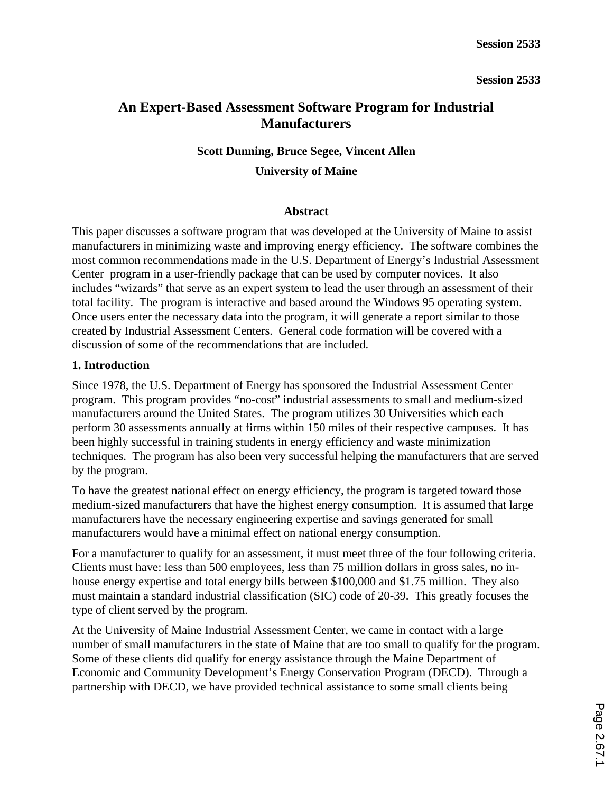# **An Expert-Based Assessment Software Program for Industrial Manufacturers**

### **Scott Dunning, Bruce Segee, Vincent Allen**

### **University of Maine**

#### **Abstract**

This paper discusses a software program that was developed at the University of Maine to assist manufacturers in minimizing waste and improving energy efficiency. The software combines the most common recommendations made in the U.S. Department of Energy's Industrial Assessment Center program in a user-friendly package that can be used by computer novices. It also includes "wizards" that serve as an expert system to lead the user through an assessment of their total facility. The program is interactive and based around the Windows 95 operating system. Once users enter the necessary data into the program, it will generate a report similar to those created by Industrial Assessment Centers. General code formation will be covered with a discussion of some of the recommendations that are included.

### **1. Introduction**

Since 1978, the U.S. Department of Energy has sponsored the Industrial Assessment Center program. This program provides "no-cost" industrial assessments to small and medium-sized manufacturers around the United States. The program utilizes 30 Universities which each perform 30 assessments annually at firms within 150 miles of their respective campuses. It has been highly successful in training students in energy efficiency and waste minimization techniques. The program has also been very successful helping the manufacturers that are served by the program.

To have the greatest national effect on energy efficiency, the program is targeted toward those medium-sized manufacturers that have the highest energy consumption. It is assumed that large manufacturers have the necessary engineering expertise and savings generated for small manufacturers would have a minimal effect on national energy consumption.

For a manufacturer to qualify for an assessment, it must meet three of the four following criteria. Clients must have: less than 500 employees, less than 75 million dollars in gross sales, no inhouse energy expertise and total energy bills between \$100,000 and \$1.75 million. They also must maintain a standard industrial classification (SIC) code of 20-39. This greatly focuses the type of client served by the program.

At the University of Maine Industrial Assessment Center, we came in contact with a large number of small manufacturers in the state of Maine that are too small to qualify for the program. Some of these clients did qualify for energy assistance through the Maine Department of Economic and Community Development's Energy Conservation Program (DECD). Through a partnership with DECD, we have provided technical assistance to some small clients being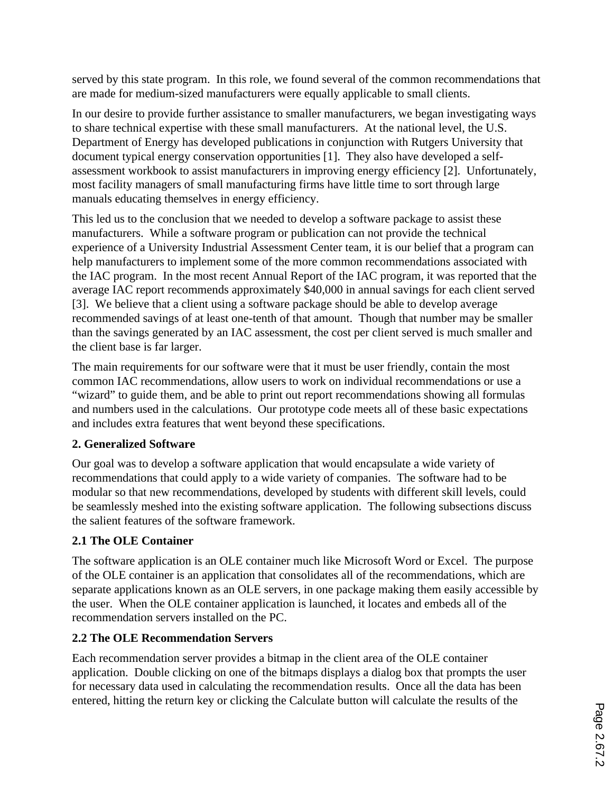served by this state program. In this role, we found several of the common recommendations that are made for medium-sized manufacturers were equally applicable to small clients.

In our desire to provide further assistance to smaller manufacturers, we began investigating ways to share technical expertise with these small manufacturers. At the national level, the U.S. Department of Energy has developed publications in conjunction with Rutgers University that document typical energy conservation opportunities [1]. They also have developed a selfassessment workbook to assist manufacturers in improving energy efficiency [2]. Unfortunately, most facility managers of small manufacturing firms have little time to sort through large manuals educating themselves in energy efficiency.

This led us to the conclusion that we needed to develop a software package to assist these manufacturers. While a software program or publication can not provide the technical experience of a University Industrial Assessment Center team, it is our belief that a program can help manufacturers to implement some of the more common recommendations associated with the IAC program. In the most recent Annual Report of the IAC program, it was reported that the average IAC report recommends approximately \$40,000 in annual savings for each client served [3]. We believe that a client using a software package should be able to develop average recommended savings of at least one-tenth of that amount. Though that number may be smaller than the savings generated by an IAC assessment, the cost per client served is much smaller and the client base is far larger.

The main requirements for our software were that it must be user friendly, contain the most common IAC recommendations, allow users to work on individual recommendations or use a "wizard" to guide them, and be able to print out report recommendations showing all formulas and numbers used in the calculations. Our prototype code meets all of these basic expectations and includes extra features that went beyond these specifications.

# **2. Generalized Software**

Our goal was to develop a software application that would encapsulate a wide variety of recommendations that could apply to a wide variety of companies. The software had to be modular so that new recommendations, developed by students with different skill levels, could be seamlessly meshed into the existing software application. The following subsections discuss the salient features of the software framework.

### **2.1 The OLE Container**

The software application is an OLE container much like Microsoft Word or Excel. The purpose of the OLE container is an application that consolidates all of the recommendations, which are separate applications known as an OLE servers, in one package making them easily accessible by the user. When the OLE container application is launched, it locates and embeds all of the recommendation servers installed on the PC.

### **2.2 The OLE Recommendation Servers**

Each recommendation server provides a bitmap in the client area of the OLE container application. Double clicking on one of the bitmaps displays a dialog box that prompts the user for necessary data used in calculating the recommendation results. Once all the data has been entered, hitting the return key or clicking the Calculate button will calculate the results of the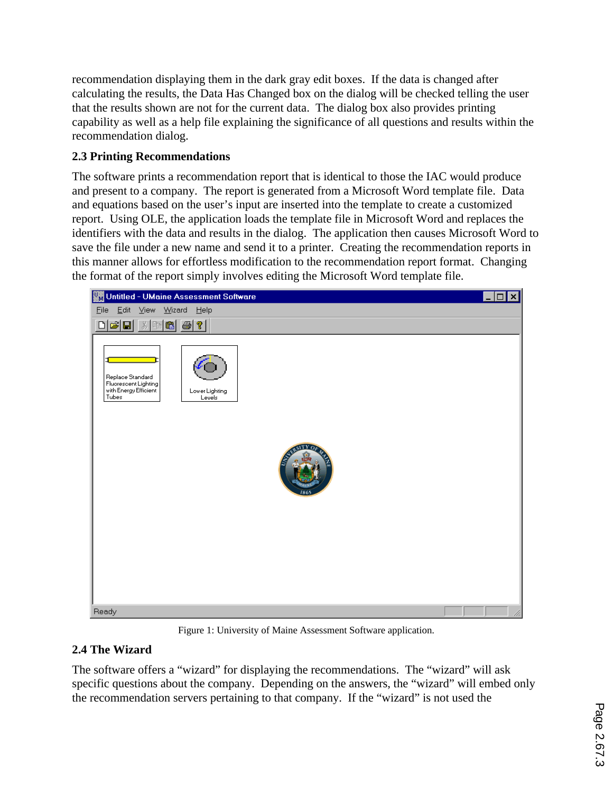recommendation displaying them in the dark gray edit boxes. If the data is changed after calculating the results, the Data Has Changed box on the dialog will be checked telling the user that the results shown are not for the current data. The dialog box also provides printing capability as well as a help file explaining the significance of all questions and results within the recommendation dialog.

# **2.3 Printing Recommendations**

The software prints a recommendation report that is identical to those the IAC would produce and present to a company. The report is generated from a Microsoft Word template file. Data and equations based on the user's input are inserted into the template to create a customized report. Using OLE, the application loads the template file in Microsoft Word and replaces the identifiers with the data and results in the dialog. The application then causes Microsoft Word to save the file under a new name and send it to a printer. Creating the recommendation reports in this manner allows for effortless modification to the recommendation report format. Changing the format of the report simply involves editing the Microsoft Word template file.



Figure 1: University of Maine Assessment Software application.

# **2.4 The Wizard**

The software offers a "wizard" for displaying the recommendations. The "wizard" will ask specific questions about the company. Depending on the answers, the "wizard" will embed only the recommendation servers pertaining to that company. If the "wizard" is not used the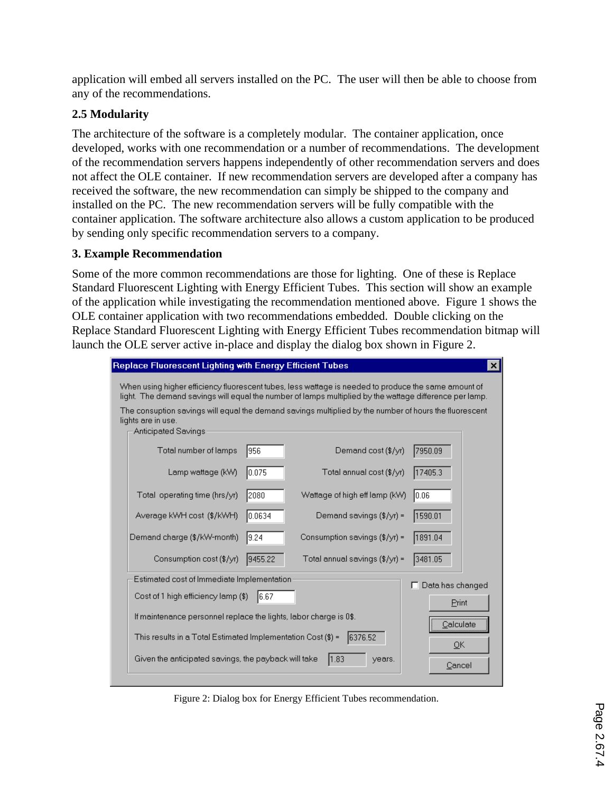application will embed all servers installed on the PC. The user will then be able to choose from any of the recommendations.

### **2.5 Modularity**

The architecture of the software is a completely modular. The container application, once developed, works with one recommendation or a number of recommendations. The development of the recommendation servers happens independently of other recommendation servers and does not affect the OLE container. If new recommendation servers are developed after a company has received the software, the new recommendation can simply be shipped to the company and installed on the PC. The new recommendation servers will be fully compatible with the container application. The software architecture also allows a custom application to be produced by sending only specific recommendation servers to a company.

### **3. Example Recommendation**

Some of the more common recommendations are those for lighting. One of these is Replace Standard Fluorescent Lighting with Energy Efficient Tubes. This section will show an example of the application while investigating the recommendation mentioned above. Figure 1 shows the OLE container application with two recommendations embedded. Double clicking on the Replace Standard Fluorescent Lighting with Energy Efficient Tubes recommendation bitmap will launch the OLE server active in-place and display the dialog box shown in Figure 2.

| Replace Fluorescent Lighting with Energy Efficient Tubes                                                                                                                                                        |                                                                   |                                | $\boldsymbol{\mathsf{x}}$ |
|-----------------------------------------------------------------------------------------------------------------------------------------------------------------------------------------------------------------|-------------------------------------------------------------------|--------------------------------|---------------------------|
| When using higher efficiency fluorescent tubes, less wattage is needed to produce the same amount of<br>light. The demand savings will equal the number of lamps multiplied by the wattage difference per lamp. |                                                                   |                                |                           |
| The consuption savings will equal the demand savings multiplied by the number of hours the fluorescent<br>lights are in use.<br>Anticipated Savings                                                             |                                                                   |                                |                           |
| Total number of lamps                                                                                                                                                                                           | 1956                                                              | Demand cost (\$/yr)            | 7950.09                   |
| Lamp wattage (kW)                                                                                                                                                                                               | 10.075                                                            | Total annual cost (\$/yr)      | 17405.3                   |
| Total operating time (hrs/yr)                                                                                                                                                                                   | 12080                                                             | Wattage of high eff lamp (kW)  | 10.06                     |
| Average kWH cost (\$/kWH)                                                                                                                                                                                       | 10.0634                                                           | Demand savings (\$/yr) =       | 1590.01                   |
| Demand charge (\$/kW-month)                                                                                                                                                                                     | 19.24                                                             | Consumption savings (\$/yr) =  | 1891.04                   |
| Consumption cost (\$/yr)                                                                                                                                                                                        | 9455.22                                                           | Total annual savings (\$/yr) = | 3481.05                   |
| Estimated cost of Immediate Implementation                                                                                                                                                                      |                                                                   |                                | Data has changed<br>п     |
| Cost of 1 high efficiency lamp (\$)                                                                                                                                                                             | 16.67                                                             |                                | Print                     |
|                                                                                                                                                                                                                 | If maintenance personnel replace the lights, labor charge is 0\$. |                                |                           |
| This results in a Total Estimated Implementation Cost (\$) =<br>6376.52                                                                                                                                         |                                                                   |                                | QK                        |
| Given the anticipated savings, the payback will take                                                                                                                                                            |                                                                   | 1.83<br>years.                 | Cancel                    |

Figure 2: Dialog box for Energy Efficient Tubes recommendation.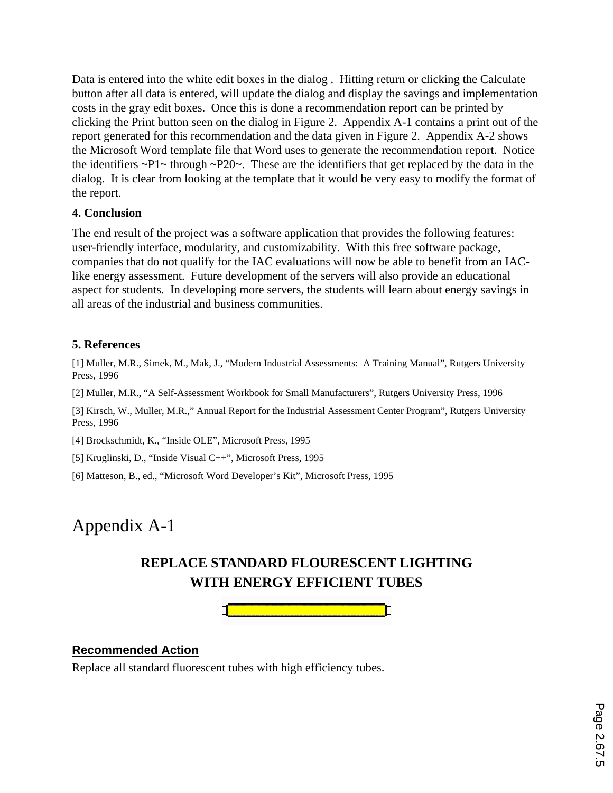Data is entered into the white edit boxes in the dialog . Hitting return or clicking the Calculate button after all data is entered, will update the dialog and display the savings and implementation costs in the gray edit boxes. Once this is done a recommendation report can be printed by clicking the Print button seen on the dialog in Figure 2. Appendix A-1 contains a print out of the report generated for this recommendation and the data given in Figure 2. Appendix A-2 shows the Microsoft Word template file that Word uses to generate the recommendation report. Notice the identifiers  $\sim P1$   $\sim$  through  $\sim P20$  $\sim$ . These are the identifiers that get replaced by the data in the dialog. It is clear from looking at the template that it would be very easy to modify the format of the report.

### **4. Conclusion**

The end result of the project was a software application that provides the following features: user-friendly interface, modularity, and customizability. With this free software package, companies that do not qualify for the IAC evaluations will now be able to benefit from an IAClike energy assessment. Future development of the servers will also provide an educational aspect for students. In developing more servers, the students will learn about energy savings in all areas of the industrial and business communities.

### **5. References**

[1] Muller, M.R., Simek, M., Mak, J., "Modern Industrial Assessments: A Training Manual", Rutgers University Press, 1996

[2] Muller, M.R., "A Self-Assessment Workbook for Small Manufacturers", Rutgers University Press, 1996

[3] Kirsch, W., Muller, M.R.," Annual Report for the Industrial Assessment Center Program", Rutgers University Press, 1996

[4] Brockschmidt, K., "Inside OLE", Microsoft Press, 1995

[5] Kruglinski, D., "Inside Visual C++", Microsoft Press, 1995

[6] Matteson, B., ed., "Microsoft Word Developer's Kit", Microsoft Press, 1995

# Appendix A-1

# **REPLACE STANDARD FLOURESCENT LIGHTING WITH ENERGY EFFICIENT TUBES**

# **Recommended Action**

Replace all standard fluorescent tubes with high efficiency tubes.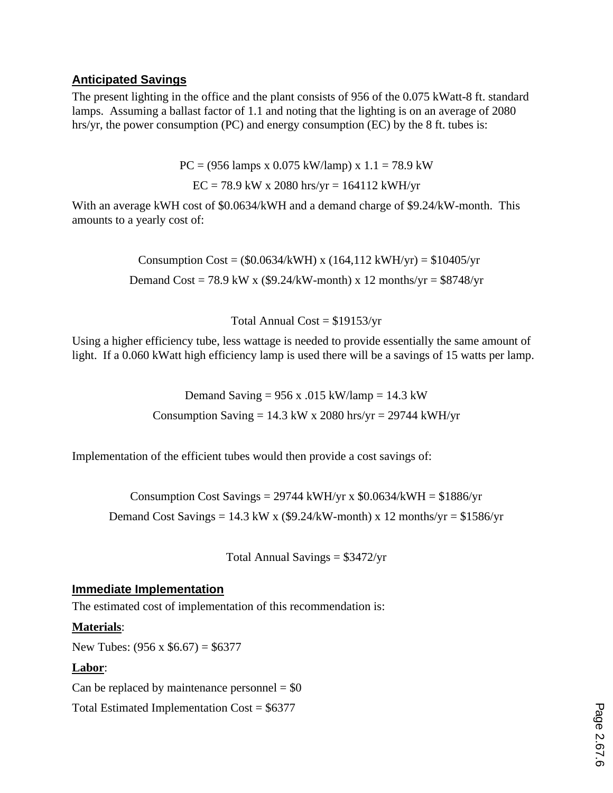# **Anticipated Savings**

The present lighting in the office and the plant consists of 956 of the 0.075 kWatt-8 ft. standard lamps. Assuming a ballast factor of 1.1 and noting that the lighting is on an average of 2080 hrs/yr, the power consumption (PC) and energy consumption (EC) by the 8 ft. tubes is:

 $PC = (956$  lamps x 0.075 kW/lamp) x 1.1 = 78.9 kW

 $EC = 78.9$  kW x 2080 hrs/yr = 164112 kWH/yr

With an average kWH cost of \$0.0634/kWH and a demand charge of \$9.24/kW-month. This amounts to a yearly cost of:

> Consumption Cost =  $(\$0.0634/kWH$ ) x  $(164,112 \text{ kW})$  kW $\frac{1}{yr}$  = \$10405/yr Demand Cost = 78.9 kW x  $(\$9.24/kW$ -month) x 12 months/yr =  $\$8748/yr$

> > Total Annual Cost =  $$19153/yr$

Using a higher efficiency tube, less wattage is needed to provide essentially the same amount of light. If a 0.060 kWatt high efficiency lamp is used there will be a savings of 15 watts per lamp.

> Demand Saving =  $956 \times .015 \text{ kW/amp} = 14.3 \text{ kW}$ Consumption Saving = 14.3 kW x 2080 hrs/yr = 29744 kWH/yr

Implementation of the efficient tubes would then provide a cost savings of:

Consumption Cost Savings =  $29744$  kWH/yr x  $$0.0634$ /kWH =  $$1886/yr$ Demand Cost Savings = 14.3 kW x (\$9.24/kW-month) x 12 months/yr =  $$1586/yr$ 

Total Annual Savings  $= $3472/yr$ 

### **Immediate Implementation**

The estimated cost of implementation of this recommendation is:

### **Materials**:

New Tubes:  $(956 \times $6.67) = $6377$ 

### **Labor**:

Can be replaced by maintenance personnel  $= $0$ 

Total Estimated Implementation  $Cost = $6377$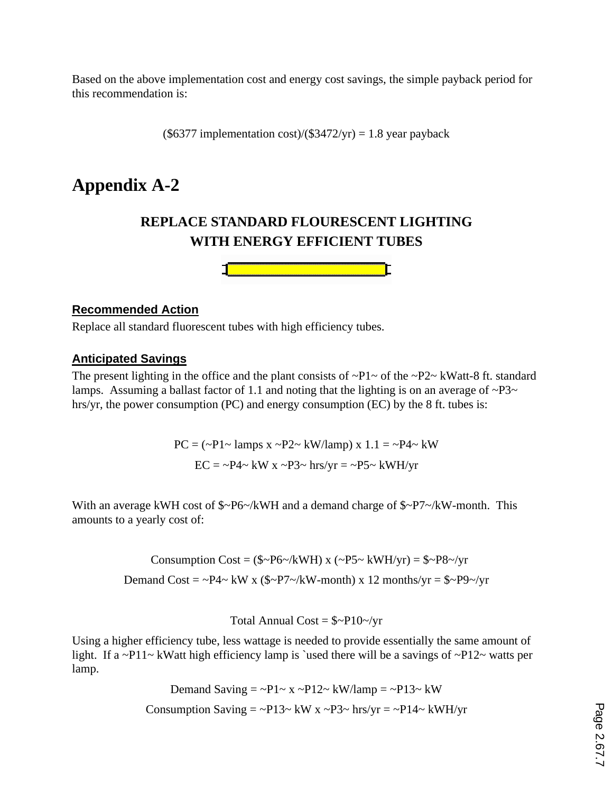Based on the above implementation cost and energy cost savings, the simple payback period for this recommendation is:

 $($6377$  implementation cost)/ $($3472/yr) = 1.8$  year payback

# **Appendix A-2**

# **REPLACE STANDARD FLOURESCENT LIGHTING WITH ENERGY EFFICIENT TUBES**



# **Recommended Action**

Replace all standard fluorescent tubes with high efficiency tubes.

# **Anticipated Savings**

The present lighting in the office and the plant consists of  $\sim P1$   $\sim$  of the  $\sim P2$  kWatt-8 ft. standard lamps. Assuming a ballast factor of 1.1 and noting that the lighting is on an average of  $\sim P3\sim$ hrs/yr, the power consumption (PC) and energy consumption (EC) by the 8 ft. tubes is:

> $PC = (-P1 - \text{lamps x} - P2 - \text{kW/lamp}) \times 1.1 = -P4 - \text{kW}$  $EC = -P4 - kW \times -P3 - hrs/yr = -P5 - kWh/yr$

With an average kWH cost of  $\sim P6-\frac{kWH}{2}$  and a demand charge of  $\sim P7-\frac{kW}{2}$  month. This amounts to a yearly cost of:

> Consumption Cost =  $(\$ \sim P6 \sim /kWH$ ) x ( $\sim P5 \sim kWH/yr$ ) =  $\$ \sim P8 \sim /yr$ Demand Cost =  $\sim P4 \sim kW \times (\$ \sim P7 \sim /kW$ -month) x 12 months/yr =  $\$ \sim P9 \sim /yr$

> > Total Annual Cost =  $\frac{10}{2}$  - P10 -/yr

Using a higher efficiency tube, less wattage is needed to provide essentially the same amount of light. If a ~P11~ kWatt high efficiency lamp is `used there will be a savings of ~P12~ watts per lamp.

> Demand Saving  $= \sim P1 - x \sim P12 - kW/$ lamp  $= \sim P13 - kW$ Consumption Saving =  $\sim$ P13 $\sim$  kW x  $\sim$ P3 $\sim$  hrs/yr =  $\sim$ P14 $\sim$  kWH/yr